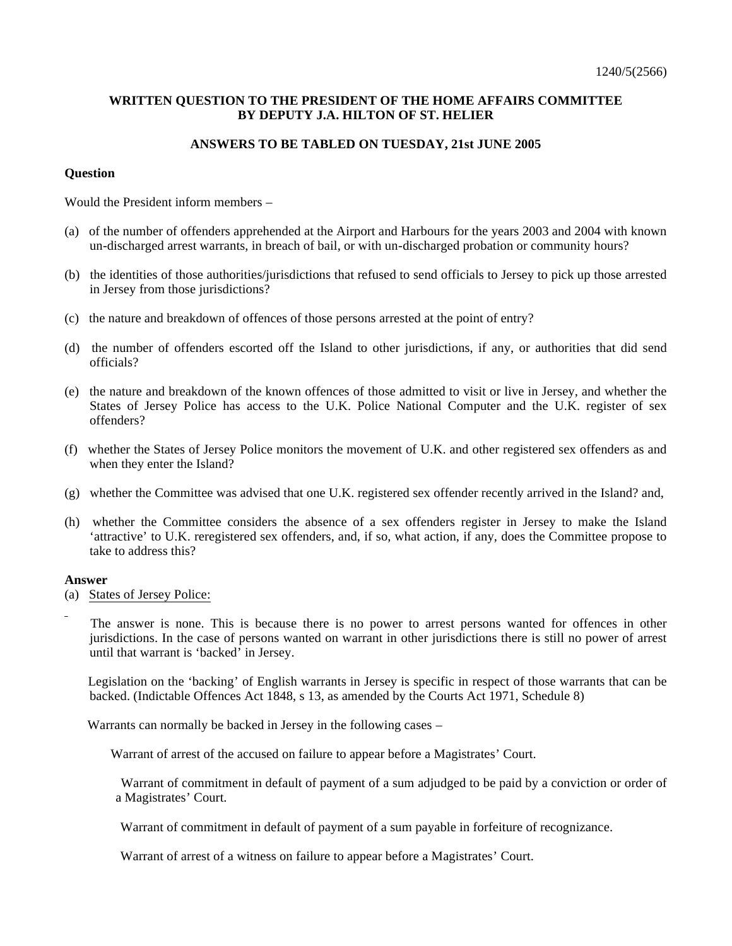# **WRITTEN QUESTION TO THE PRESIDENT OF THE HOME AFFAIRS COMMITTEE BY DEPUTY J.A. HILTON OF ST. HELIER**

## **ANSWERS TO BE TABLED ON TUESDAY, 21st JUNE 2005**

### **Question**

Would the President inform members –

- (a) of the number of offenders apprehended at the Airport and Harbours for the years 2003 and 2004 with known un-discharged arrest warrants, in breach of bail, or with un-discharged probation or community hours?
- (b) the identities of those authorities/jurisdictions that refused to send officials to Jersey to pick up those arrested in Jersey from those jurisdictions?
- (c) the nature and breakdown of offences of those persons arrested at the point of entry?
- (d) the number of offenders escorted off the Island to other jurisdictions, if any, or authorities that did send officials?
- (e) the nature and breakdown of the known offences of those admitted to visit or live in Jersey, and whether the States of Jersey Police has access to the U.K. Police National Computer and the U.K. register of sex offenders?
- (f) whether the States of Jersey Police monitors the movement of U.K. and other registered sex offenders as and when they enter the Island?
- (g) whether the Committee was advised that one U.K. registered sex offender recently arrived in the Island? and,
- (h) whether the Committee considers the absence of a sex offenders register in Jersey to make the Island 'attractive' to U.K. reregistered sex offenders, and, if so, what action, if any, does the Committee propose to take to address this?

#### **Answer**

- (a)States of Jersey Police:
	- The answer is none. This is because there is no power to arrest persons wanted for offences in other jurisdictions. In the case of persons wanted on warrant in other jurisdictions there is still no power of arrest until that warrant is 'backed' in Jersey.

 Legislation on the 'backing' of English warrants in Jersey is specific in respect of those warrants that can be backed. (Indictable Offences Act 1848, s 13, as amended by the Courts Act 1971, Schedule 8)

Warrants can normally be backed in Jersey in the following cases –

Warrant of arrest of the accused on failure to appear before a Magistrates' Court.

 Warrant of commitment in default of payment of a sum adjudged to be paid by a conviction or order of a Magistrates' Court.

Warrant of commitment in default of payment of a sum payable in forfeiture of recognizance.

Warrant of arrest of a witness on failure to appear before a Magistrates' Court.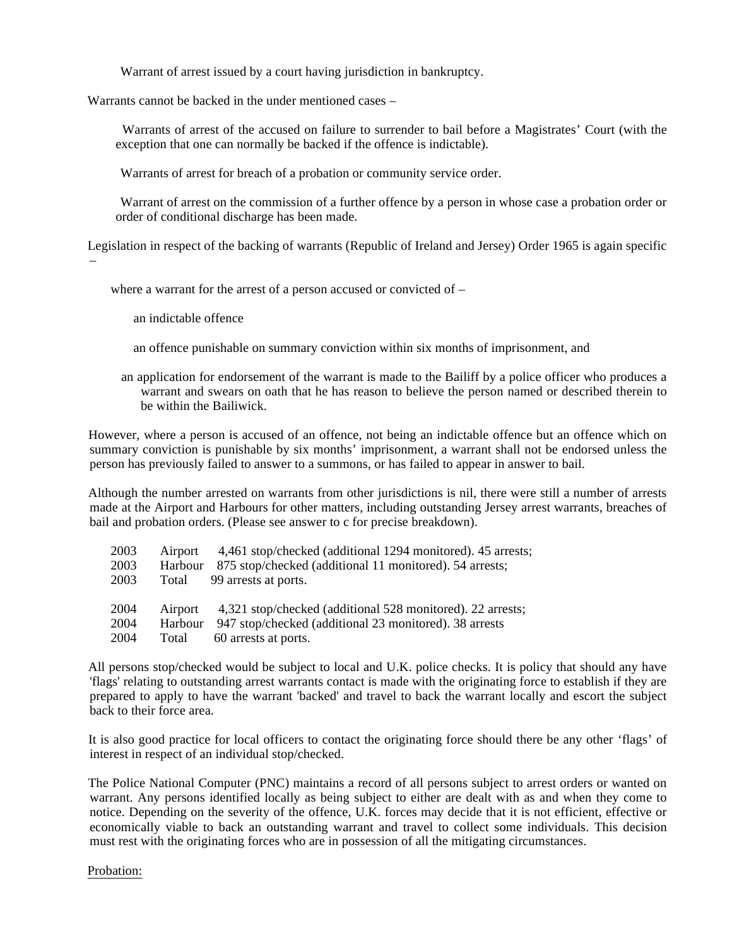Warrant of arrest issued by a court having jurisdiction in bankruptcy.

Warrants cannot be backed in the under mentioned cases –

 Warrants of arrest of the accused on failure to surrender to bail before a Magistrates' Court (with the exception that one can normally be backed if the offence is indictable).

Warrants of arrest for breach of a probation or community service order.

 Warrant of arrest on the commission of a further offence by a person in whose case a probation order or order of conditional discharge has been made.

 Legislation in respect of the backing of warrants (Republic of Ireland and Jersey) Order 1965 is again specific –

where a warrant for the arrest of a person accused or convicted of –

an indictable offence

- an offence punishable on summary conviction within six months of imprisonment, and
- an application for endorsement of the warrant is made to the Bailiff by a police officer who produces a warrant and swears on oath that he has reason to believe the person named or described therein to be within the Bailiwick.

 However, where a person is accused of an offence, not being an indictable offence but an offence which on summary conviction is punishable by six months' imprisonment, a warrant shall not be endorsed unless the person has previously failed to answer to a summons, or has failed to appear in answer to bail.

 Although the number arrested on warrants from other jurisdictions is nil, there were still a number of arrests made at the Airport and Harbours for other matters, including outstanding Jersey arrest warrants, breaches of bail and probation orders. (Please see answer to c for precise breakdown).

| 2003 |       | Airport 4,461 stop/checked (additional 1294 monitored). 45 arrests; |
|------|-------|---------------------------------------------------------------------|
| 2003 |       | Harbour 875 stop/checked (additional 11 monitored). 54 arrests;     |
| 2003 | Total | 99 arrests at ports.                                                |
|      |       |                                                                     |
| 2004 |       | Airport 4,321 stop/checked (additional 528 monitored). 22 arrests;  |
| 2004 |       | Harbour 947 stop/checked (additional 23 monitored). 38 arrests      |
| 2004 | Total | 60 arrests at ports.                                                |

 All persons stop/checked would be subject to local and U.K. police checks. It is policy that should any have 'flags' relating to outstanding arrest warrants contact is made with the originating force to establish if they are prepared to apply to have the warrant 'backed' and travel to back the warrant locally and escort the subject back to their force area.

 It is also good practice for local officers to contact the originating force should there be any other 'flags' of interest in respect of an individual stop/checked.

 The Police National Computer (PNC) maintains a record of all persons subject to arrest orders or wanted on warrant. Any persons identified locally as being subject to either are dealt with as and when they come to notice. Depending on the severity of the offence, U.K. forces may decide that it is not efficient, effective or economically viable to back an outstanding warrant and travel to collect some individuals. This decision must rest with the originating forces who are in possession of all the mitigating circumstances.

#### Probation: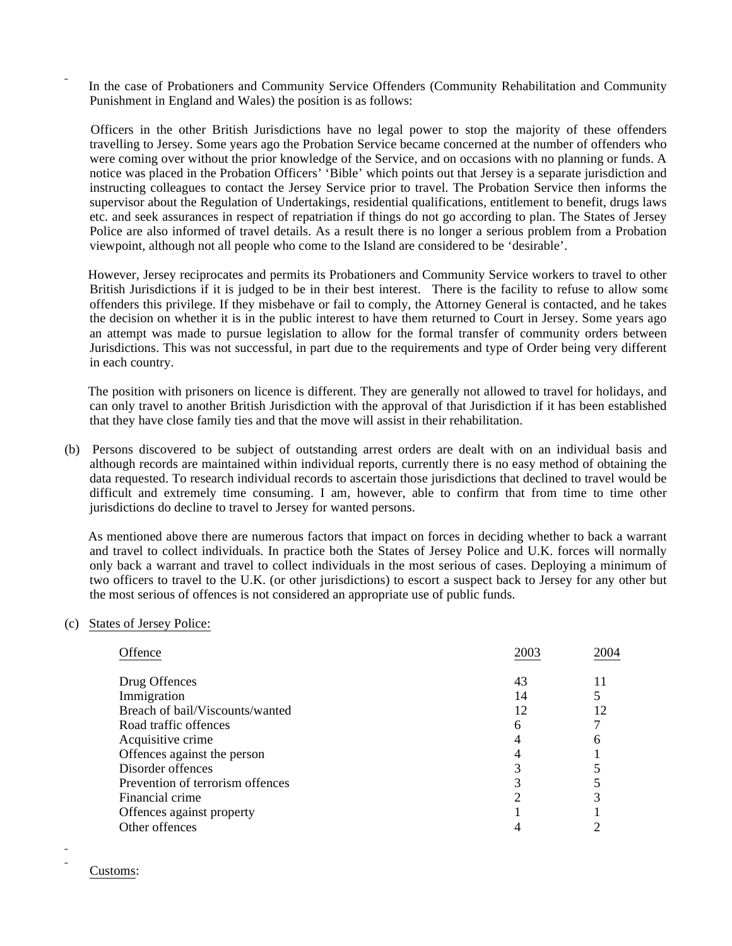In the case of Probationers and Community Service Offenders (Community Rehabilitation and Community Punishment in England and Wales) the position is as follows:

 Officers in the other British Jurisdictions have no legal power to stop the majority of these offenders travelling to Jersey. Some years ago the Probation Service became concerned at the number of offenders who were coming over without the prior knowledge of the Service, and on occasions with no planning or funds. A notice was placed in the Probation Officers' 'Bible' which points out that Jersey is a separate jurisdiction and instructing colleagues to contact the Jersey Service prior to travel. The Probation Service then informs the supervisor about the Regulation of Undertakings, residential qualifications, entitlement to benefit, drugs laws etc. and seek assurances in respect of repatriation if things do not go according to plan. The States of Jersey Police are also informed of travel details. As a result there is no longer a serious problem from a Probation viewpoint, although not all people who come to the Island are considered to be 'desirable'.

 However, Jersey reciprocates and permits its Probationers and Community Service workers to travel to other British Jurisdictions if it is judged to be in their best interest. There is the facility to refuse to allow some offenders this privilege. If they misbehave or fail to comply, the Attorney General is contacted, and he takes the decision on whether it is in the public interest to have them returned to Court in Jersey. Some years ago an attempt was made to pursue legislation to allow for the formal transfer of community orders between Jurisdictions. This was not successful, in part due to the requirements and type of Order being very different in each country.

 The position with prisoners on licence is different. They are generally not allowed to travel for holidays, and can only travel to another British Jurisdiction with the approval of that Jurisdiction if it has been established that they have close family ties and that the move will assist in their rehabilitation.

(b) Persons discovered to be subject of outstanding arrest orders are dealt with on an individual basis and although records are maintained within individual reports, currently there is no easy method of obtaining the data requested. To research individual records to ascertain those jurisdictions that declined to travel would be difficult and extremely time consuming. I am, however, able to confirm that from time to time other jurisdictions do decline to travel to Jersey for wanted persons.

 As mentioned above there are numerous factors that impact on forces in deciding whether to back a warrant and travel to collect individuals. In practice both the States of Jersey Police and U.K. forces will normally only back a warrant and travel to collect individuals in the most serious of cases. Deploying a minimum of two officers to travel to the U.K. (or other jurisdictions) to escort a suspect back to Jersey for any other but the most serious of offences is not considered an appropriate use of public funds.

#### (c) States of Jersey Police:

| Offence                          | 2003 | 2004 |
|----------------------------------|------|------|
| Drug Offences                    | 43   |      |
| Immigration                      | 14   |      |
| Breach of bail/Viscounts/wanted  | 12   | 12   |
| Road traffic offences            | h    |      |
| Acquisitive crime                |      |      |
| Offences against the person      |      |      |
| Disorder offences                |      |      |
| Prevention of terrorism offences |      |      |
| Financial crime                  |      |      |
| Offences against property        |      |      |
| Other offences                   |      |      |

Customs: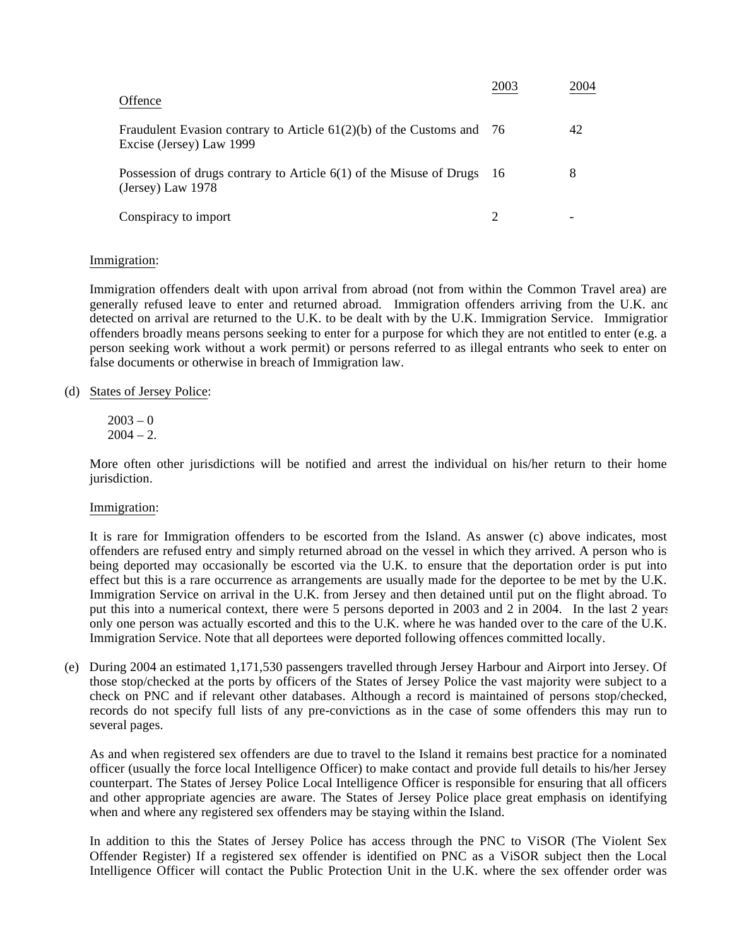| Offence                                                                                             | 2003 | 2004 |
|-----------------------------------------------------------------------------------------------------|------|------|
| Fraudulent Evasion contrary to Article $61(2)(b)$ of the Customs and 76<br>Excise (Jersey) Law 1999 |      | 42   |
| Possession of drugs contrary to Article $6(1)$ of the Misuse of Drugs<br>(Jersey) Law $1978$        | - 16 | 8    |
| Conspiracy to import                                                                                |      |      |

### Immigration:

Immigration offenders dealt with upon arrival from abroad (not from within the Common Travel area) are generally refused leave to enter and returned abroad. Immigration offenders arriving from the U.K. and detected on arrival are returned to the U.K. to be dealt with by the U.K. Immigration Service. Immigration offenders broadly means persons seeking to enter for a purpose for which they are not entitled to enter (e.g. a person seeking work without a work permit) or persons referred to as illegal entrants who seek to enter on false documents or otherwise in breach of Immigration law.

- (d) States of Jersey Police:
	- $2003 0$  $2004 - 2.$

More often other jurisdictions will be notified and arrest the individual on his/her return to their home jurisdiction.

#### Immigration:

It is rare for Immigration offenders to be escorted from the Island. As answer (c) above indicates, most offenders are refused entry and simply returned abroad on the vessel in which they arrived. A person who is being deported may occasionally be escorted via the U.K. to ensure that the deportation order is put into effect but this is a rare occurrence as arrangements are usually made for the deportee to be met by the U.K. Immigration Service on arrival in the U.K. from Jersey and then detained until put on the flight abroad. To put this into a numerical context, there were 5 persons deported in 2003 and 2 in 2004. In the last 2 years only one person was actually escorted and this to the U.K. where he was handed over to the care of the U.K. Immigration Service. Note that all deportees were deported following offences committed locally.

(e) During 2004 an estimated 1,171,530 passengers travelled through Jersey Harbour and Airport into Jersey. Of those stop/checked at the ports by officers of the States of Jersey Police the vast majority were subject to a check on PNC and if relevant other databases. Although a record is maintained of persons stop/checked, records do not specify full lists of any pre-convictions as in the case of some offenders this may run to several pages.

As and when registered sex offenders are due to travel to the Island it remains best practice for a nominated officer (usually the force local Intelligence Officer) to make contact and provide full details to his/her Jersey counterpart. The States of Jersey Police Local Intelligence Officer is responsible for ensuring that all officers and other appropriate agencies are aware. The States of Jersey Police place great emphasis on identifying when and where any registered sex offenders may be staying within the Island.

In addition to this the States of Jersey Police has access through the PNC to ViSOR (The Violent Sex Offender Register) If a registered sex offender is identified on PNC as a ViSOR subject then the Local Intelligence Officer will contact the Public Protection Unit in the U.K. where the sex offender order was